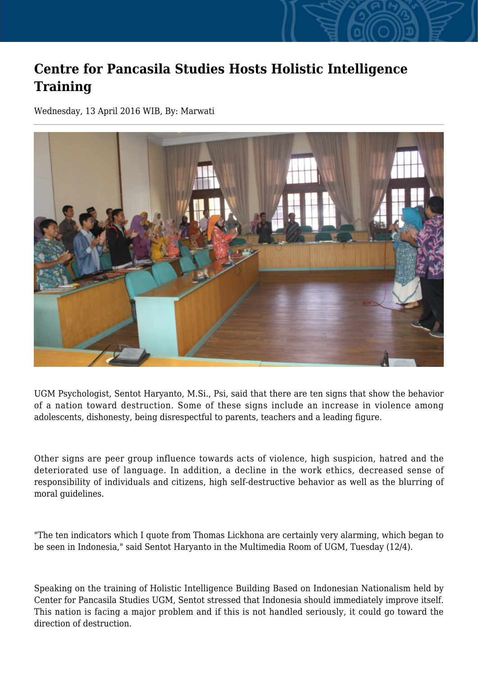## **Centre for Pancasila Studies Hosts Holistic Intelligence Training**

Wednesday, 13 April 2016 WIB, By: Marwati



UGM Psychologist, Sentot Haryanto, M.Si., Psi, said that there are ten signs that show the behavior of a nation toward destruction. Some of these signs include an increase in violence among adolescents, dishonesty, being disrespectful to parents, teachers and a leading figure.

Other signs are peer group influence towards acts of violence, high suspicion, hatred and the deteriorated use of language. In addition, a decline in the work ethics, decreased sense of responsibility of individuals and citizens, high self-destructive behavior as well as the blurring of moral guidelines.

"The ten indicators which I quote from Thomas Lickhona are certainly very alarming, which began to be seen in Indonesia," said Sentot Haryanto in the Multimedia Room of UGM, Tuesday (12/4).

Speaking on the training of Holistic Intelligence Building Based on Indonesian Nationalism held by Center for Pancasila Studies UGM, Sentot stressed that Indonesia should immediately improve itself. This nation is facing a major problem and if this is not handled seriously, it could go toward the direction of destruction.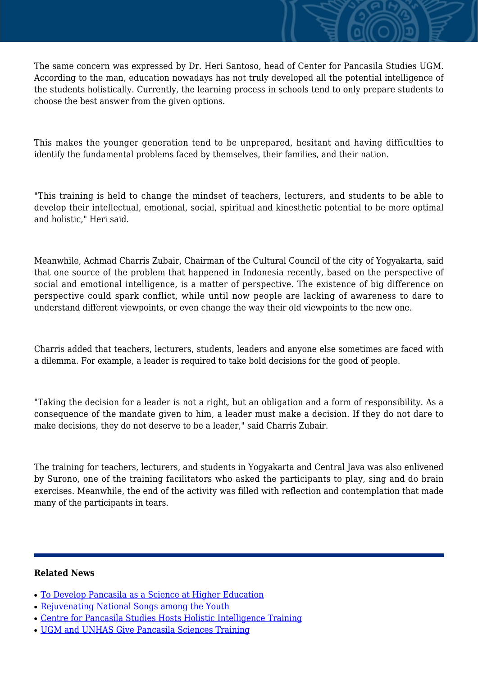The same concern was expressed by Dr. Heri Santoso, head of Center for Pancasila Studies UGM. According to the man, education nowadays has not truly developed all the potential intelligence of the students holistically. Currently, the learning process in schools tend to only prepare students to choose the best answer from the given options.

This makes the younger generation tend to be unprepared, hesitant and having difficulties to identify the fundamental problems faced by themselves, their families, and their nation.

"This training is held to change the mindset of teachers, lecturers, and students to be able to develop their intellectual, emotional, social, spiritual and kinesthetic potential to be more optimal and holistic," Heri said.

Meanwhile, Achmad Charris Zubair, Chairman of the Cultural Council of the city of Yogyakarta, said that one source of the problem that happened in Indonesia recently, based on the perspective of social and emotional intelligence, is a matter of perspective. The existence of big difference on perspective could spark conflict, while until now people are lacking of awareness to dare to understand different viewpoints, or even change the way their old viewpoints to the new one.

Charris added that teachers, lecturers, students, leaders and anyone else sometimes are faced with a dilemma. For example, a leader is required to take bold decisions for the good of people.

"Taking the decision for a leader is not a right, but an obligation and a form of responsibility. As a consequence of the mandate given to him, a leader must make a decision. If they do not dare to make decisions, they do not deserve to be a leader," said Charris Zubair.

The training for teachers, lecturers, and students in Yogyakarta and Central Java was also enlivened by Surono, one of the training facilitators who asked the participants to play, sing and do brain exercises. Meanwhile, the end of the activity was filled with reflection and contemplation that made many of the participants in tears.

## **Related News**

- [To Develop Pancasila as a Science at Higher Education](http://ugm.ac.id/www.ugm.ac.id//en/news/11503-centre-for-pancasila-studies-hosts-holistic-intelligence-training)
- [Rejuvenating National Songs among the Youth](http://ugm.ac.id/www.ugm.ac.id//en/news/14317-ugm-and-unhas-give-pancasila-sciences-training)
- [Centre for Pancasila Studies Hosts Holistic Intelligence Training](http://ugm.ac.id/www.ugm.ac.id//en/news/5560-building-nationalism-through-cadre-training)
- [UGM and UNHAS Give Pancasila Sciences Training](http://ugm.ac.id/www.ugm.ac.id//en/news/16843-to-develop-pancasila-as-a-science-at-higher-education)